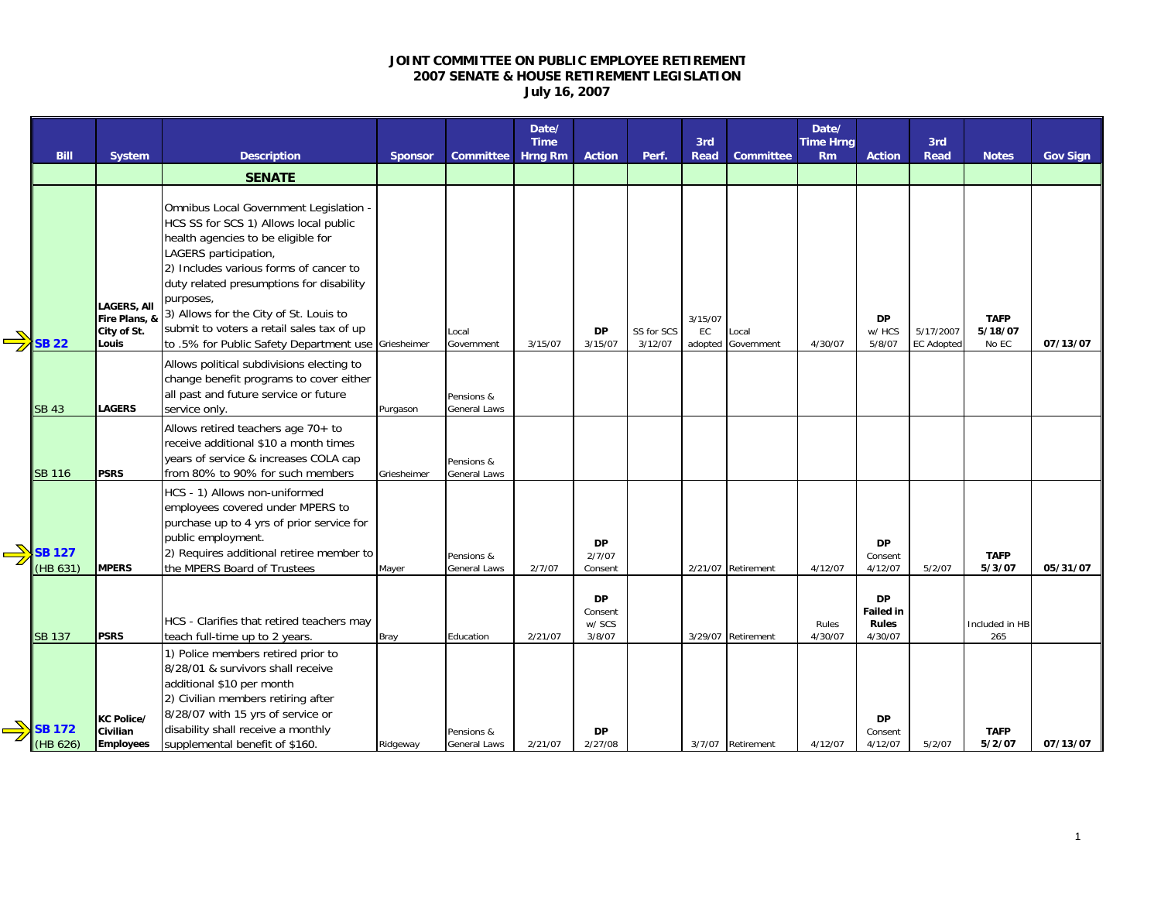## **JOINT COMMITTEE ON PUBLIC EMPLOYEE RETIREMENT 2007 SENATE & HOUSE RETIREMENT LEGISLATION July 16, 2007**

|                           |                                                             |                                                                                                                                                                                                                                                                                                                                                                                                 |                |                            | Date/<br><b>Time</b> |                                          |                       | 3rd                      |                     | Date/<br><b>Time Hrng</b> |                                                          | 3rd                            |                                 |                 |
|---------------------------|-------------------------------------------------------------|-------------------------------------------------------------------------------------------------------------------------------------------------------------------------------------------------------------------------------------------------------------------------------------------------------------------------------------------------------------------------------------------------|----------------|----------------------------|----------------------|------------------------------------------|-----------------------|--------------------------|---------------------|---------------------------|----------------------------------------------------------|--------------------------------|---------------------------------|-----------------|
| <b>Bill</b>               | <b>System</b>                                               | <b>Description</b>                                                                                                                                                                                                                                                                                                                                                                              | <b>Sponsor</b> | <b>Committee</b>           | <b>Hrng Rm</b>       | <b>Action</b>                            | Perf.                 | <b>Read</b>              | <b>Committee</b>    | Rm                        | <b>Action</b>                                            | Read                           | <b>Notes</b>                    | <b>Gov Sign</b> |
|                           |                                                             | <b>SENATE</b>                                                                                                                                                                                                                                                                                                                                                                                   |                |                            |                      |                                          |                       |                          |                     |                           |                                                          |                                |                                 |                 |
| <b>SB 22</b>              | <b>LAGERS, All</b><br>Fire Plans, &<br>City of St.<br>Louis | Omnibus Local Government Legislation -<br>HCS SS for SCS 1) Allows local public<br>health agencies to be eligible for<br>LAGERS participation,<br>2) Includes various forms of cancer to<br>duty related presumptions for disability<br>purposes,<br>3) Allows for the City of St. Louis to<br>submit to voters a retail sales tax of up<br>to .5% for Public Safety Department use Griesheimer |                | Local<br>Government        | 3/15/07              | <b>DP</b><br>3/15/07                     | SS for SCS<br>3/12/07 | 3/15/07<br>EC<br>adopted | Local<br>Government | 4/30/07                   | <b>DP</b><br>w/ HCS<br>5/8/07                            | 5/17/2007<br><b>EC Adopted</b> | <b>TAFP</b><br>5/18/07<br>No EC | 07/13/07        |
| <b>SB 43</b>              | <b>LAGERS</b>                                               | Allows political subdivisions electing to<br>change benefit programs to cover either<br>all past and future service or future<br>service only.                                                                                                                                                                                                                                                  | Purgason       | Pensions &<br>General Laws |                      |                                          |                       |                          |                     |                           |                                                          |                                |                                 |                 |
| <b>SB 116</b>             | <b>PSRS</b>                                                 | Allows retired teachers age 70+ to<br>receive additional \$10 a month times<br>years of service & increases COLA cap<br>from 80% to 90% for such members                                                                                                                                                                                                                                        | Griesheimer    | Pensions &<br>General Laws |                      |                                          |                       |                          |                     |                           |                                                          |                                |                                 |                 |
| <b>SB 127</b><br>(HB 631) | <b>MPERS</b>                                                | HCS - 1) Allows non-uniformed<br>employees covered under MPERS to<br>purchase up to 4 yrs of prior service for<br>public employment.<br>2) Requires additional retiree member to<br>the MPERS Board of Trustees                                                                                                                                                                                 | Mayer          | Pensions &<br>General Laws | 2/7/07               | <b>DP</b><br>2/7/07<br>Consent           |                       |                          | 2/21/07 Retirement  | 4/12/07                   | <b>DP</b><br>Consent<br>4/12/07                          | 5/2/07                         | <b>TAFP</b><br>5/3/07           | 05/31/07        |
| <b>SB 137</b>             | <b>PSRS</b>                                                 | HCS - Clarifies that retired teachers may<br>teach full-time up to 2 years.                                                                                                                                                                                                                                                                                                                     | <b>Bray</b>    | Education                  | 2/21/07              | <b>DP</b><br>Consent<br>w/ SCS<br>3/8/07 |                       |                          | 3/29/07 Retirement  | Rules<br>4/30/07          | <b>DP</b><br><b>Failed in</b><br><b>Rules</b><br>4/30/07 |                                | Included in HB<br>265           |                 |
| <b>SB 172</b><br>(HB 626) | KC Police/<br>Civilian<br><b>Employees</b>                  | 1) Police members retired prior to<br>8/28/01 & survivors shall receive<br>additional \$10 per month<br>2) Civilian members retiring after<br>8/28/07 with 15 yrs of service or<br>disability shall receive a monthly<br>supplemental benefit of \$160.                                                                                                                                         | Ridgeway       | Pensions &<br>General Laws | 2/21/07              | <b>DP</b><br>2/27/08                     |                       |                          | 3/7/07 Retirement   | 4/12/07                   | <b>DP</b><br>Consent<br>4/12/07                          | 5/2/07                         | <b>TAFP</b><br>5/2/07           | 07/13/07        |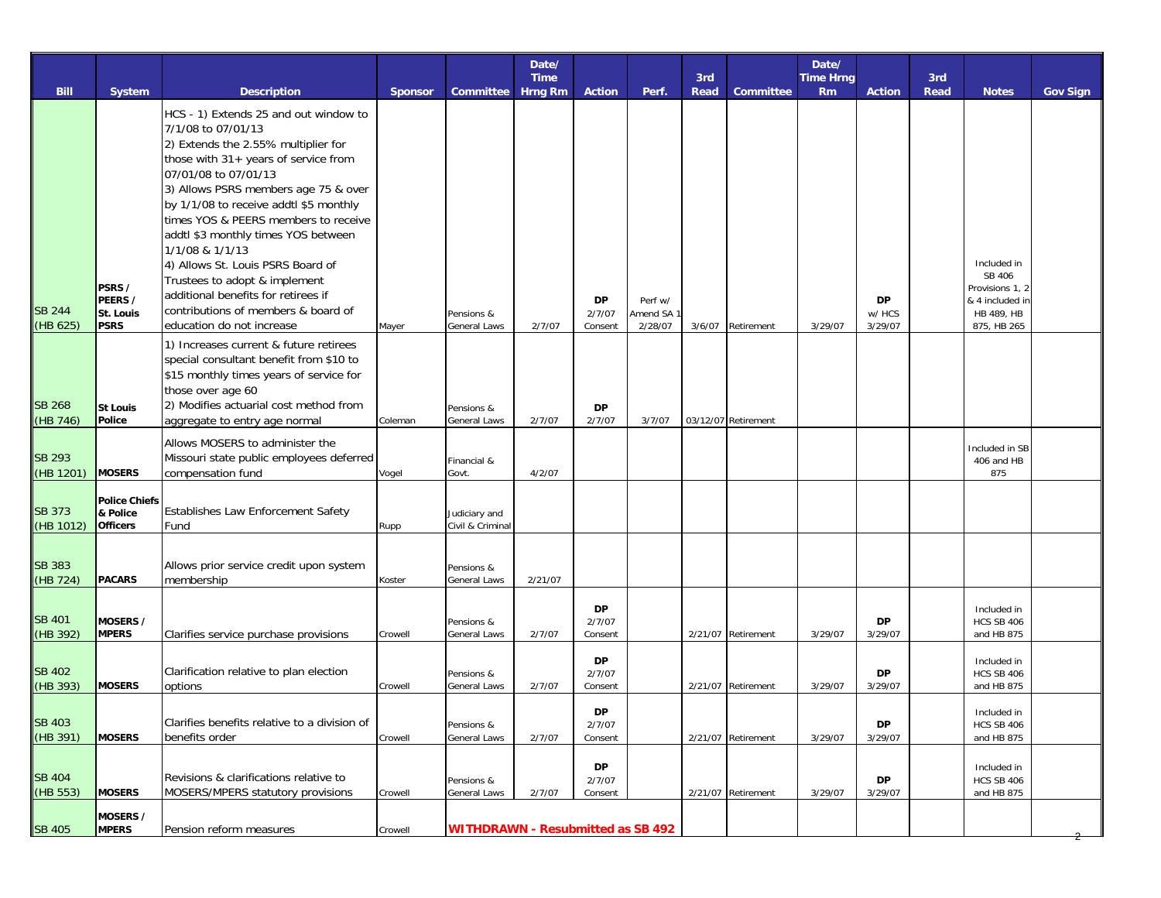|                            |                                                     |                                                                                                                                                                                                                                                                                                                                                                                                                                                                                                                                         |         |                                          | Date/<br><b>Time</b> |                                |                                             | 3rd    |                     | Date/<br><b>Time Hrng</b> |                         | 3rd  |                                                                                          |                 |
|----------------------------|-----------------------------------------------------|-----------------------------------------------------------------------------------------------------------------------------------------------------------------------------------------------------------------------------------------------------------------------------------------------------------------------------------------------------------------------------------------------------------------------------------------------------------------------------------------------------------------------------------------|---------|------------------------------------------|----------------------|--------------------------------|---------------------------------------------|--------|---------------------|---------------------------|-------------------------|------|------------------------------------------------------------------------------------------|-----------------|
| <b>Bill</b>                | <b>System</b>                                       | <b>Description</b>                                                                                                                                                                                                                                                                                                                                                                                                                                                                                                                      | Sponsor | <b>Committee</b>                         | <b>Hrng Rm</b>       | <b>Action</b>                  | Perf.                                       | Read   | <b>Committee</b>    | <b>Rm</b>                 | <b>Action</b>           | Read | <b>Notes</b>                                                                             | <b>Gov Sign</b> |
| <b>SB 244</b><br>(HB 625)  | PSRS /<br>PEERS /<br><b>St. Louis</b><br>PSRS       | HCS - 1) Extends 25 and out window to<br>7/1/08 to 07/01/13<br>2) Extends the 2.55% multiplier for<br>those with 31+ years of service from<br>07/01/08 to 07/01/13<br>3) Allows PSRS members age 75 & over<br>by 1/1/08 to receive addtl \$5 monthly<br>times YOS & PEERS members to receive<br>addtl \$3 monthly times YOS between<br>1/1/08 & 1/1/13<br>4) Allows St. Louis PSRS Board of<br>Trustees to adopt & implement<br>additional benefits for retirees if<br>contributions of members & board of<br>education do not increase | Mayer   | Pensions &<br><b>General Laws</b>        | 2/7/07               | <b>DP</b><br>2/7/07<br>Consent | Perf w/<br>Amend SA <sup>-</sup><br>2/28/07 | 3/6/07 | Retirement          | 3/29/07                   | DP<br>w/ HCS<br>3/29/07 |      | Included in<br>SB 406<br>Provisions 1, 2<br>& 4 included in<br>HB 489, HB<br>875, HB 265 |                 |
| <b>SB 268</b><br>(HB 746)  | <b>St Louis</b><br>Police                           | 1) Increases current & future retirees<br>special consultant benefit from \$10 to<br>\$15 monthly times years of service for<br>those over age 60<br>2) Modifies actuarial cost method from<br>aggregate to entry age normal                                                                                                                                                                                                                                                                                                            | Coleman | Pensions &<br>General Laws               | 2/7/07               | <b>DP</b><br>2/7/07            | 3/7/07                                      |        | 03/12/07 Retirement |                           |                         |      |                                                                                          |                 |
| <b>SB 293</b><br>(HB 1201) | <b>MOSERS</b>                                       | Allows MOSERS to administer the<br>Missouri state public employees deferred<br>compensation fund                                                                                                                                                                                                                                                                                                                                                                                                                                        | Vogel   | Financial &<br>Govt.                     | 4/2/07               |                                |                                             |        |                     |                           |                         |      | Included in SB<br>406 and HB<br>875                                                      |                 |
| <b>SB 373</b><br>(HB 1012) | <b>Police Chiefs</b><br>& Police<br><b>Officers</b> | Establishes Law Enforcement Safety<br>Fund                                                                                                                                                                                                                                                                                                                                                                                                                                                                                              | Rupp    | Judiciary and<br>Civil & Criminal        |                      |                                |                                             |        |                     |                           |                         |      |                                                                                          |                 |
| <b>SB 383</b><br>(HB 724)  | <b>PACARS</b>                                       | Allows prior service credit upon system<br>membership                                                                                                                                                                                                                                                                                                                                                                                                                                                                                   | Koster  | Pensions &<br>General Laws               | 2/21/07              |                                |                                             |        |                     |                           |                         |      |                                                                                          |                 |
| <b>SB 401</b><br>(HB 392)  | <b>MOSERS /</b><br><b>MPERS</b>                     | Clarifies service purchase provisions                                                                                                                                                                                                                                                                                                                                                                                                                                                                                                   | Crowell | Pensions &<br>General Laws               | 2/7/07               | <b>DP</b><br>2/7/07<br>Consent |                                             |        | 2/21/07 Retirement  | 3/29/07                   | <b>DP</b><br>3/29/07    |      | Included in<br><b>HCS SB 406</b><br>and HB 875                                           |                 |
| <b>SB 402</b><br>(HB 393)  | <b>MOSERS</b>                                       | Clarification relative to plan election<br>options                                                                                                                                                                                                                                                                                                                                                                                                                                                                                      | Crowell | Pensions &<br>General Laws               | 2/7/07               | <b>DP</b><br>2/7/07<br>Consent |                                             |        | 2/21/07 Retirement  | 3/29/07                   | <b>DP</b><br>3/29/07    |      | Included in<br><b>HCS SB 406</b><br>and HB 875                                           |                 |
| <b>SB 403</b><br>(HB 391)  | <b>MOSERS</b>                                       | Clarifies benefits relative to a division of<br>benefits order                                                                                                                                                                                                                                                                                                                                                                                                                                                                          | Crowell | Pensions &<br>General Laws               | 2/7/07               | DP<br>2/7/07<br>Consent        |                                             |        | 2/21/07 Retirement  | 3/29/07                   | DP<br>3/29/07           |      | Included in<br><b>HCS SB 406</b><br>and HB 875                                           |                 |
| <b>SB 404</b><br>(HB 553)  | <b>MOSERS</b>                                       | Revisions & clarifications relative to<br>MOSERS/MPERS statutory provisions                                                                                                                                                                                                                                                                                                                                                                                                                                                             | Crowell | Pensions &<br>General Laws               | 2/7/07               | DP<br>2/7/07<br>Consent        |                                             |        | 2/21/07 Retirement  | 3/29/07                   | DP<br>3/29/07           |      | Included in<br><b>HCS SB 406</b><br>and HB 875                                           |                 |
| <b>SB 405</b>              | MOSERS /<br><b>MPERS</b>                            | Pension reform measures                                                                                                                                                                                                                                                                                                                                                                                                                                                                                                                 | Crowell | <b>WITHDRAWN - Resubmitted as SB 492</b> |                      |                                |                                             |        |                     |                           |                         |      |                                                                                          |                 |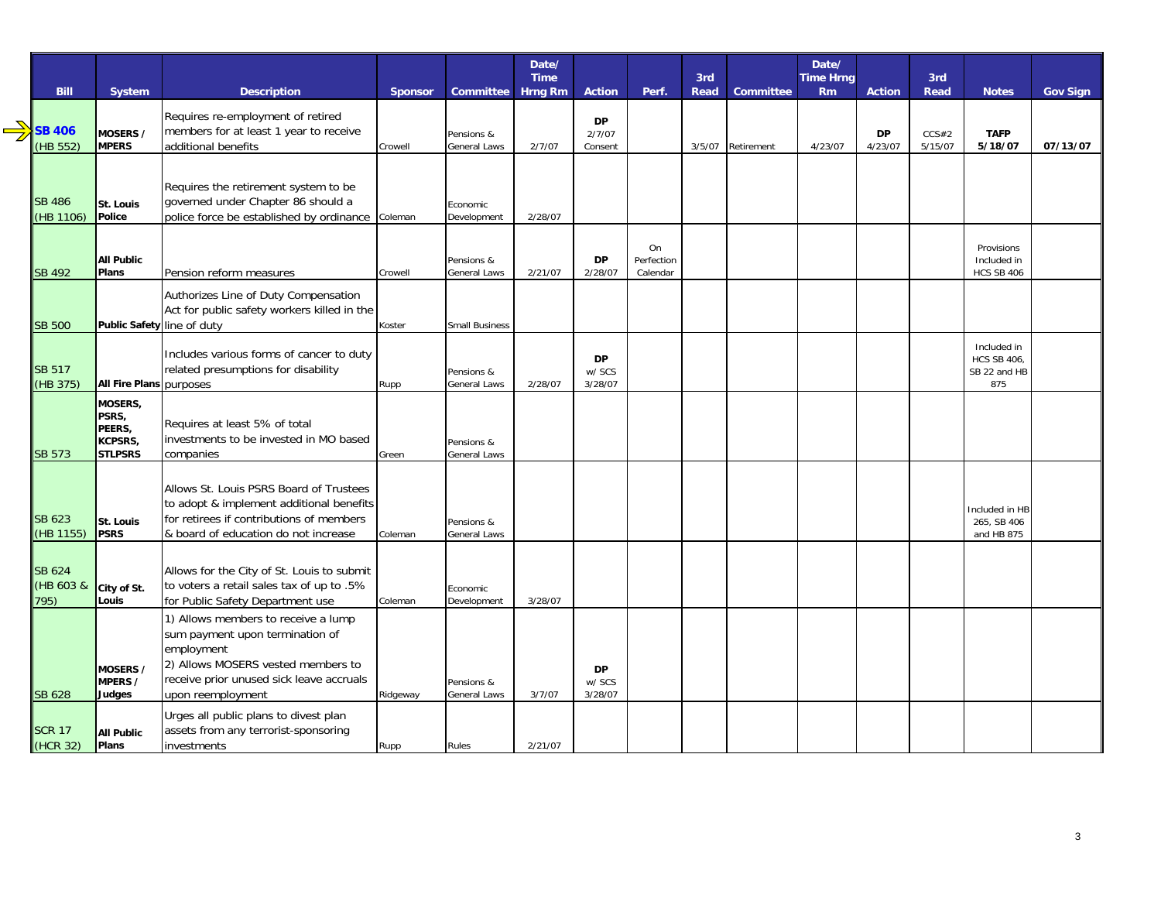|                   |                            |                                                                               |          |                            | Date/          |                   |            |             |                  | Date/            |               |             |                           |                 |
|-------------------|----------------------------|-------------------------------------------------------------------------------|----------|----------------------------|----------------|-------------------|------------|-------------|------------------|------------------|---------------|-------------|---------------------------|-----------------|
|                   |                            |                                                                               |          |                            | <b>Time</b>    |                   |            | 3rd         |                  | <b>Time Hrng</b> |               | 3rd         |                           |                 |
| <b>Bill</b>       | System                     | <b>Description</b>                                                            | Sponsor  | Committee                  | <b>Hrng Rm</b> | <b>Action</b>     | Perf.      | <b>Read</b> | <b>Committee</b> | <b>Rm</b>        | <b>Action</b> | <b>Read</b> | <b>Notes</b>              | <b>Gov Sign</b> |
|                   |                            | Requires re-employment of retired                                             |          |                            |                | <b>DP</b>         |            |             |                  |                  |               |             |                           |                 |
| <b>SB 406</b>     | MOSERS /                   | members for at least 1 year to receive                                        |          | Pensions &                 |                | 2/7/07            |            |             |                  |                  | <b>DP</b>     | CCS#2       | <b>TAFP</b>               |                 |
| (HB 552)          | <b>MPERS</b>               | additional benefits                                                           | Crowell  | General Laws               | 2/7/07         | Consent           |            | 3/5/07      | Retirement       | 4/23/07          | 4/23/07       | 5/15/07     | 5/18/07                   | 07/13/07        |
|                   |                            |                                                                               |          |                            |                |                   |            |             |                  |                  |               |             |                           |                 |
|                   |                            | Requires the retirement system to be                                          |          |                            |                |                   |            |             |                  |                  |               |             |                           |                 |
| <b>SB 486</b>     | St. Louis                  | governed under Chapter 86 should a                                            |          | Economic                   |                |                   |            |             |                  |                  |               |             |                           |                 |
| (HB 1106)         | Police                     | police force be established by ordinance                                      | Coleman  | Development                | 2/28/07        |                   |            |             |                  |                  |               |             |                           |                 |
|                   |                            |                                                                               |          |                            |                |                   | On         |             |                  |                  |               |             |                           |                 |
|                   | <b>All Public</b>          |                                                                               |          | Pensions &                 |                | <b>DP</b>         | Perfection |             |                  |                  |               |             | Provisions<br>Included in |                 |
| <b>SB 492</b>     | Plans                      | Pension reform measures                                                       | Crowell  | General Laws               | 2/21/07        | 2/28/07           | Calendar   |             |                  |                  |               |             | <b>HCS SB 406</b>         |                 |
|                   |                            | Authorizes Line of Duty Compensation                                          |          |                            |                |                   |            |             |                  |                  |               |             |                           |                 |
|                   |                            | Act for public safety workers killed in the                                   |          |                            |                |                   |            |             |                  |                  |               |             |                           |                 |
| <b>SB 500</b>     | Public Safety line of duty |                                                                               | Koster   | <b>Small Business</b>      |                |                   |            |             |                  |                  |               |             |                           |                 |
|                   |                            | Includes various forms of cancer to duty                                      |          |                            |                |                   |            |             |                  |                  |               |             | Included in               |                 |
| <b>SB 517</b>     |                            | related presumptions for disability                                           |          |                            |                | <b>DP</b>         |            |             |                  |                  |               |             | <b>HCS SB 406,</b>        |                 |
| (HB 375)          | All Fire Plans purposes    |                                                                               | Rupp     | Pensions &<br>General Laws | 2/28/07        | w/ SCS<br>3/28/07 |            |             |                  |                  |               |             | SB 22 and HB<br>875       |                 |
|                   | <b>MOSERS,</b>             |                                                                               |          |                            |                |                   |            |             |                  |                  |               |             |                           |                 |
|                   | PSRS,                      | Requires at least 5% of total                                                 |          |                            |                |                   |            |             |                  |                  |               |             |                           |                 |
|                   | PEERS,<br>KCPSRS,          | investments to be invested in MO based                                        |          | Pensions &                 |                |                   |            |             |                  |                  |               |             |                           |                 |
| <b>SB 573</b>     | <b>STLPSRS</b>             | companies                                                                     | Green    | General Laws               |                |                   |            |             |                  |                  |               |             |                           |                 |
|                   |                            |                                                                               |          |                            |                |                   |            |             |                  |                  |               |             |                           |                 |
|                   |                            | Allows St. Louis PSRS Board of Trustees                                       |          |                            |                |                   |            |             |                  |                  |               |             |                           |                 |
|                   |                            | to adopt & implement additional benefits                                      |          |                            |                |                   |            |             |                  |                  |               |             | Included in HB            |                 |
| <b>SB 623</b>     | St. Louis                  | for retirees if contributions of members                                      |          | Pensions &                 |                |                   |            |             |                  |                  |               |             | 265, SB 406               |                 |
| (HB 1155)         | <b>PSRS</b>                | & board of education do not increase                                          | Coleman  | General Laws               |                |                   |            |             |                  |                  |               |             | and HB 875                |                 |
|                   |                            |                                                                               |          |                            |                |                   |            |             |                  |                  |               |             |                           |                 |
| <b>SB 624</b>     |                            | Allows for the City of St. Louis to submit                                    |          |                            |                |                   |            |             |                  |                  |               |             |                           |                 |
| (HB 603 &<br>795) | City of St.<br>Louis       | to voters a retail sales tax of up to .5%<br>for Public Safety Department use | Coleman  | Economic<br>Development    | 3/28/07        |                   |            |             |                  |                  |               |             |                           |                 |
|                   |                            |                                                                               |          |                            |                |                   |            |             |                  |                  |               |             |                           |                 |
|                   |                            | 1) Allows members to receive a lump<br>sum payment upon termination of        |          |                            |                |                   |            |             |                  |                  |               |             |                           |                 |
|                   |                            | employment                                                                    |          |                            |                |                   |            |             |                  |                  |               |             |                           |                 |
|                   | MOSERS /                   | 2) Allows MOSERS vested members to                                            |          |                            |                | <b>DP</b>         |            |             |                  |                  |               |             |                           |                 |
|                   | MPERS /                    | receive prior unused sick leave accruals                                      |          | Pensions &                 |                | w/ SCS            |            |             |                  |                  |               |             |                           |                 |
| <b>SB 628</b>     | Judges                     | upon reemployment                                                             | Ridgeway | General Laws               | 3/7/07         | 3/28/07           |            |             |                  |                  |               |             |                           |                 |
|                   |                            | Urges all public plans to divest plan                                         |          |                            |                |                   |            |             |                  |                  |               |             |                           |                 |
| <b>SCR 17</b>     | <b>All Public</b>          | assets from any terrorist-sponsoring                                          |          |                            |                |                   |            |             |                  |                  |               |             |                           |                 |
| (HCR 32)          | Plans                      | investments                                                                   | Rupp     | Rules                      | 2/21/07        |                   |            |             |                  |                  |               |             |                           |                 |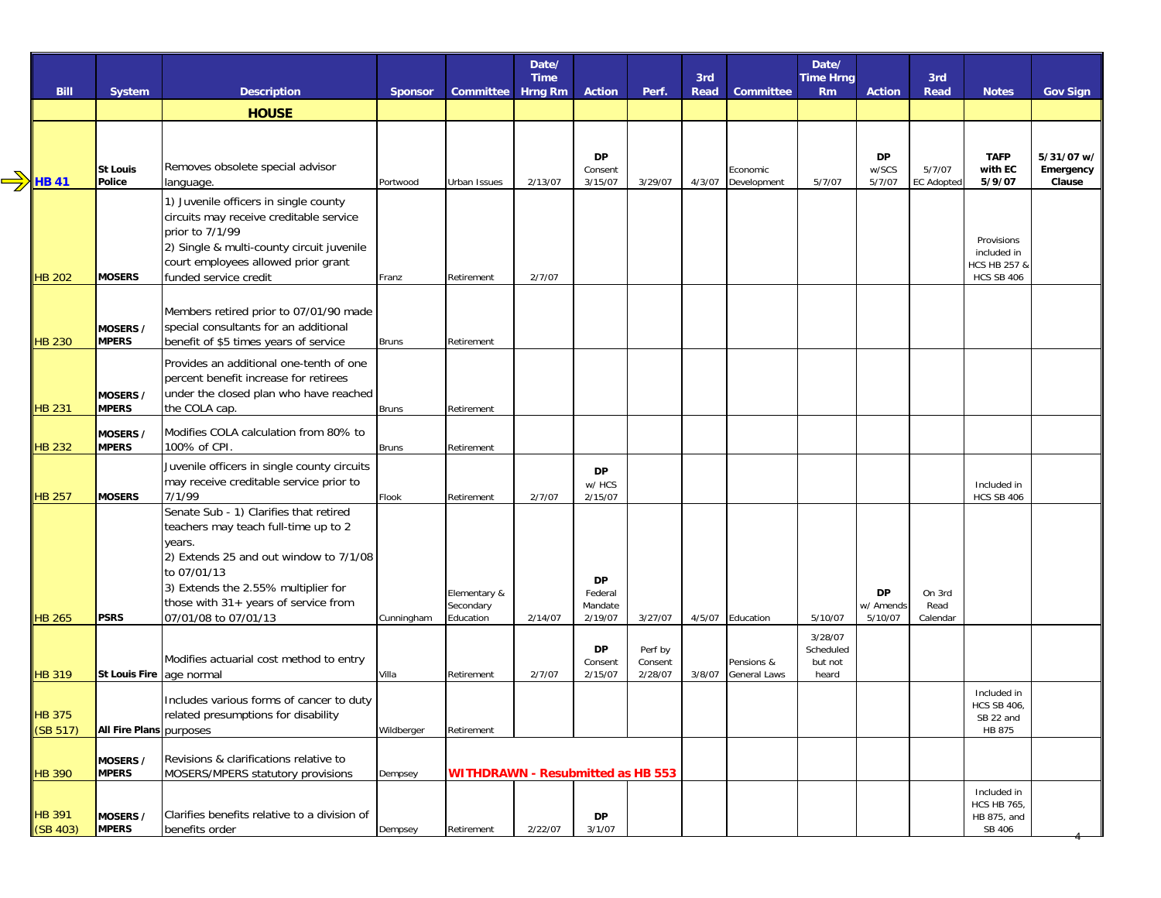|                                |                                         |                                                                                                                                                                                                                                  |                     |                                          | Date/<br><b>Time</b> |                                            |                                          | 3rd    |                                                       | Date/<br><b>Time Hrng</b>                           |                              | 3rd                         |                                                                |                                   |
|--------------------------------|-----------------------------------------|----------------------------------------------------------------------------------------------------------------------------------------------------------------------------------------------------------------------------------|---------------------|------------------------------------------|----------------------|--------------------------------------------|------------------------------------------|--------|-------------------------------------------------------|-----------------------------------------------------|------------------------------|-----------------------------|----------------------------------------------------------------|-----------------------------------|
| <b>Bill</b>                    | System                                  | <b>Description</b>                                                                                                                                                                                                               | <b>Sponsor</b>      | Committee                                | <b>Hrng Rm</b>       | <b>Action</b>                              | Perf.                                    | Read   | <b>Committee</b>                                      | <b>Rm</b>                                           | <b>Action</b>                | Read                        | <b>Notes</b>                                                   | <b>Gov Sign</b>                   |
|                                |                                         | <b>HOUSE</b>                                                                                                                                                                                                                     |                     |                                          |                      |                                            |                                          |        |                                                       |                                                     |                              |                             |                                                                |                                   |
| <b>HB 41</b>                   | <b>St Louis</b><br>Police               | Removes obsolete special advisor<br>language.                                                                                                                                                                                    | Portwood            | Urban Issues                             | 2/13/07              | <b>DP</b><br>Consent<br>3/15/07            | 3/29/07                                  | 4/3/07 | Economic<br>Development                               | 5/7/07                                              | <b>DP</b><br>w/SCS<br>5/7/07 | 5/7/07<br><b>EC Adopted</b> | <b>TAFP</b><br>with EC<br>5/9/07                               | 5/31/07 w/<br>Emergency<br>Clause |
| <b>HB 202</b>                  | <b>MOSERS</b>                           | 1) Juvenile officers in single county<br>circuits may receive creditable service<br>prior to 7/1/99<br>2) Single & multi-county circuit juvenile<br>court employees allowed prior grant<br>funded service credit                 | Franz               | Retirement                               | 2/7/07               |                                            |                                          |        |                                                       |                                                     |                              |                             | Provisions<br>included in<br>HCS HB 257 &<br><b>HCS SB 406</b> |                                   |
| <b>HB 230</b>                  | MOSERS /<br><b>MPERS</b>                | Members retired prior to 07/01/90 made<br>special consultants for an additional<br>benefit of \$5 times years of service                                                                                                         | <b>Bruns</b>        | Retirement                               |                      |                                            |                                          |        |                                                       |                                                     |                              |                             |                                                                |                                   |
| <b>HB 231</b>                  | MOSERS /<br><b>MPERS</b>                | Provides an additional one-tenth of one<br>percent benefit increase for retirees<br>under the closed plan who have reached<br>the COLA cap.                                                                                      | <b>Bruns</b>        | Retirement                               |                      |                                            |                                          |        |                                                       |                                                     |                              |                             |                                                                |                                   |
| <b>HB 232</b>                  | MOSERS /<br><b>MPERS</b>                | Modifies COLA calculation from 80% to<br>100% of CPI.                                                                                                                                                                            | <b>Bruns</b>        | Retirement                               |                      |                                            |                                          |        |                                                       |                                                     |                              |                             |                                                                |                                   |
| <b>HB 257</b>                  | <b>MOSERS</b>                           | Juvenile officers in single county circuits<br>may receive creditable service prior to<br>7/1/99                                                                                                                                 | Flook               | Retirement                               | 2/7/07               | <b>DP</b><br>w/ HCS<br>2/15/07             |                                          |        |                                                       |                                                     |                              |                             | Included in<br><b>HCS SB 406</b>                               |                                   |
|                                |                                         | Senate Sub - 1) Clarifies that retired<br>teachers may teach full-time up to 2<br>years.<br>2) Extends 25 and out window to 7/1/08<br>to 07/01/13<br>3) Extends the 2.55% multiplier for<br>those with 31+ years of service from |                     | Elementary &<br>Secondary                |                      | <b>DP</b><br>Federal<br>Mandate            |                                          |        |                                                       |                                                     | <b>DP</b><br>w/ Amends       | On 3rd<br>Read              |                                                                |                                   |
| <b>HB 265</b><br><b>HB 319</b> | <b>PSRS</b><br>St Louis Fire age normal | 07/01/08 to 07/01/13<br>Modifies actuarial cost method to entry                                                                                                                                                                  | Cunningham<br>Villa | Education<br>Retirement                  | 2/14/07<br>2/7/07    | 2/19/07<br><b>DP</b><br>Consent<br>2/15/07 | 3/27/07<br>Perf by<br>Consent<br>2/28/07 | 3/8/07 | 4/5/07 Education<br>Pensions &<br><b>General Laws</b> | 5/10/07<br>3/28/07<br>Scheduled<br>but not<br>heard | 5/10/07                      | Calendar                    |                                                                |                                   |
| <b>HB 375</b><br>(SB 517)      | All Fire Plans purposes                 | Includes various forms of cancer to duty<br>related presumptions for disability                                                                                                                                                  | Wildberger          | Retirement                               |                      |                                            |                                          |        |                                                       |                                                     |                              |                             | Included in<br><b>HCS SB 406</b><br>SB 22 and<br>HB 875        |                                   |
| <b>HB 390</b>                  | MOSERS /<br><b>MPERS</b>                | Revisions & clarifications relative to<br>MOSERS/MPERS statutory provisions                                                                                                                                                      | Dempsey             | <b>WITHDRAWN - Resubmitted as HB 553</b> |                      |                                            |                                          |        |                                                       |                                                     |                              |                             |                                                                |                                   |
| <b>HB 391</b><br>(SB 403)      | MOSERS /<br><b>MPERS</b>                | Clarifies benefits relative to a division of<br>benefits order                                                                                                                                                                   | Dempsey             | Retirement                               | 2/22/07              | DP<br>3/1/07                               |                                          |        |                                                       |                                                     |                              |                             | Included in<br><b>HCS HB 765,</b><br>HB 875, and<br>SB 406     |                                   |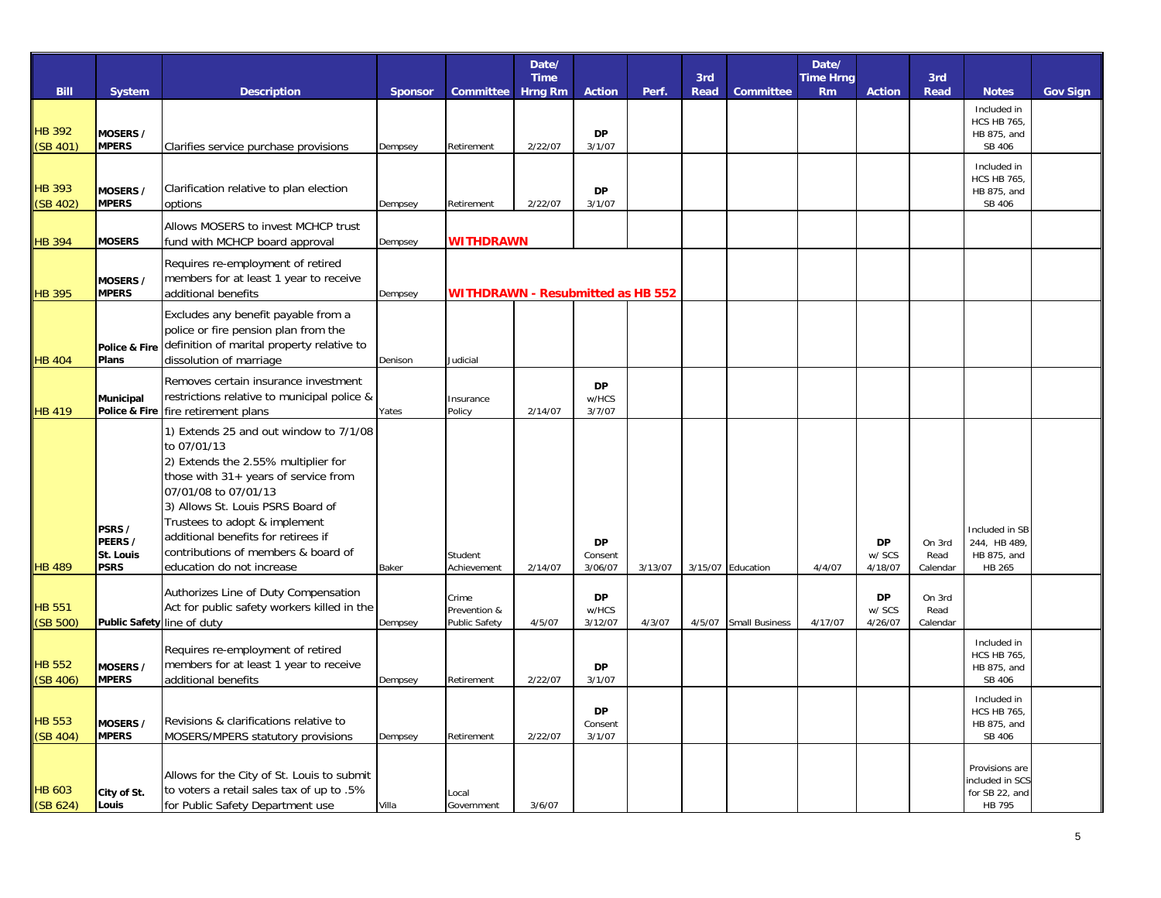|                           |                                               |                                                                                                                                                                                                                                                                                                                                               |                |                                          | Date/                         |                                 |         |                    |                       | Date/                         |                                |                            |                                                               |                 |
|---------------------------|-----------------------------------------------|-----------------------------------------------------------------------------------------------------------------------------------------------------------------------------------------------------------------------------------------------------------------------------------------------------------------------------------------------|----------------|------------------------------------------|-------------------------------|---------------------------------|---------|--------------------|-----------------------|-------------------------------|--------------------------------|----------------------------|---------------------------------------------------------------|-----------------|
| <b>Bill</b>               | <b>System</b>                                 | <b>Description</b>                                                                                                                                                                                                                                                                                                                            | <b>Sponsor</b> | Committee                                | <b>Time</b><br><b>Hrng Rm</b> | <b>Action</b>                   | Perf.   | 3rd<br><b>Read</b> | <b>Committee</b>      | <b>Time Hrng</b><br><b>Rm</b> | <b>Action</b>                  | 3rd<br><b>Read</b>         | <b>Notes</b>                                                  | <b>Gov Sign</b> |
| <b>HB 392</b><br>(SB 401) | MOSERS /<br><b>MPERS</b>                      | Clarifies service purchase provisions                                                                                                                                                                                                                                                                                                         | Dempsey        | Retirement                               | 2/22/07                       | DP<br>3/1/07                    |         |                    |                       |                               |                                |                            | Included in<br><b>HCS HB 765,</b><br>HB 875, and<br>SB 406    |                 |
| <b>HB 393</b><br>(SB 402) | MOSERS /<br><b>MPERS</b>                      | Clarification relative to plan election<br>options                                                                                                                                                                                                                                                                                            | Dempsey        | Retirement                               | 2/22/07                       | <b>DP</b><br>3/1/07             |         |                    |                       |                               |                                |                            | Included in<br><b>HCS HB 765,</b><br>HB 875, and<br>SB 406    |                 |
| <b>HB 394</b>             | <b>MOSERS</b>                                 | Allows MOSERS to invest MCHCP trust<br>fund with MCHCP board approval                                                                                                                                                                                                                                                                         | Dempsey        | <b>WITHDRAWN</b>                         |                               |                                 |         |                    |                       |                               |                                |                            |                                                               |                 |
| <b>HB 395</b>             | MOSERS /<br><b>MPERS</b>                      | Requires re-employment of retired<br>members for at least 1 year to receive<br>additional benefits                                                                                                                                                                                                                                            | Dempsey        | <b>WITHDRAWN - Resubmitted as HB 552</b> |                               |                                 |         |                    |                       |                               |                                |                            |                                                               |                 |
| <b>HB 404</b>             | Police & Fire<br>Plans                        | Excludes any benefit payable from a<br>police or fire pension plan from the<br>definition of marital property relative to<br>dissolution of marriage                                                                                                                                                                                          | Denison        | Judicial                                 |                               |                                 |         |                    |                       |                               |                                |                            |                                                               |                 |
| <b>HB 419</b>             | Municipal                                     | Removes certain insurance investment<br>restrictions relative to municipal police &<br>Police & Fire fire retirement plans                                                                                                                                                                                                                    | Yates          | Insurance<br>Policy                      | 2/14/07                       | <b>DP</b><br>w/HCS<br>3/7/07    |         |                    |                       |                               |                                |                            |                                                               |                 |
| <b>HB 489</b>             | PSRS /<br>PEERS /<br>St. Louis<br><b>PSRS</b> | 1) Extends 25 and out window to 7/1/08<br>to 07/01/13<br>2) Extends the 2.55% multiplier for<br>those with 31+ years of service from<br>07/01/08 to 07/01/13<br>3) Allows St. Louis PSRS Board of<br>Trustees to adopt & implement<br>additional benefits for retirees if<br>contributions of members & board of<br>education do not increase | Baker          | Student<br>Achievement                   | 2/14/07                       | <b>DP</b><br>Consent<br>3/06/07 | 3/13/07 |                    | 3/15/07 Education     | 4/4/07                        | DP<br>w/ SCS<br>4/18/07        | On 3rd<br>Read<br>Calendar | Included in SB<br>244, HB 489,<br>HB 875, and<br>HB 265       |                 |
| <b>HB 551</b><br>(SB 500) | Public Safety line of duty                    | Authorizes Line of Duty Compensation<br>Act for public safety workers killed in the                                                                                                                                                                                                                                                           | Dempsey        | Crime<br>Prevention &<br>Public Safety   | 4/5/07                        | DP<br>w/HCS<br>3/12/07          | 4/3/07  | 4/5/07             | <b>Small Business</b> | 4/17/07                       | <b>DP</b><br>w/ SCS<br>4/26/07 | On 3rd<br>Read<br>Calendar |                                                               |                 |
| <b>HB 552</b><br>(SB 406) | MOSERS /<br><b>MPERS</b>                      | Requires re-employment of retired<br>members for at least 1 year to receive<br>additional benefits                                                                                                                                                                                                                                            | Dempsey        | Retirement                               | 2/22/07                       | <b>DP</b><br>3/1/07             |         |                    |                       |                               |                                |                            | Included in<br><b>HCS HB 765,</b><br>HB 875, and<br>SB 406    |                 |
| <b>HB 553</b><br>(SB 404) | MOSERS /<br><b>MPERS</b>                      | Revisions & clarifications relative to<br>MOSERS/MPERS statutory provisions                                                                                                                                                                                                                                                                   | Dempsey        | Retirement                               | 2/22/07                       | DP<br>Consent<br>3/1/07         |         |                    |                       |                               |                                |                            | Included in<br><b>HCS HB 765,</b><br>HB 875, and<br>SB 406    |                 |
| <b>HB 603</b><br>(SB 624) | City of St.<br>Louis                          | Allows for the City of St. Louis to submit<br>to voters a retail sales tax of up to .5%<br>for Public Safety Department use                                                                                                                                                                                                                   | Villa          | Local<br>Government                      | 3/6/07                        |                                 |         |                    |                       |                               |                                |                            | Provisions are<br>included in SCS<br>for SB 22, and<br>HB 795 |                 |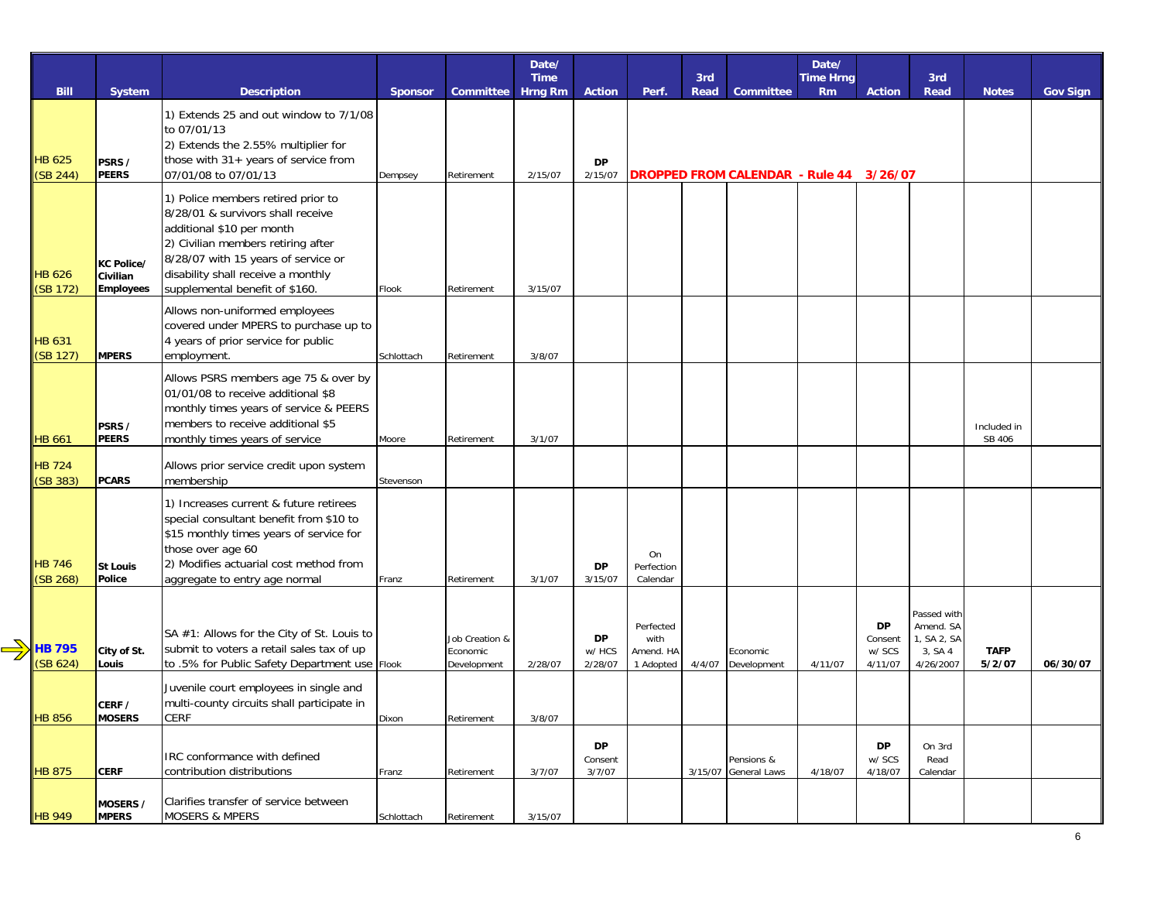|                           |                                            |                                                                                                                                                                                                                                                           |                |                                           | Date/<br><b>Time</b> |                         |                                             | 3rd    |                                         | Date/<br><b>Time Hrng</b> |                                           | 3rd                                                             |                       |                 |
|---------------------------|--------------------------------------------|-----------------------------------------------------------------------------------------------------------------------------------------------------------------------------------------------------------------------------------------------------------|----------------|-------------------------------------------|----------------------|-------------------------|---------------------------------------------|--------|-----------------------------------------|---------------------------|-------------------------------------------|-----------------------------------------------------------------|-----------------------|-----------------|
| <b>Bill</b>               | System                                     | <b>Description</b>                                                                                                                                                                                                                                        | <b>Sponsor</b> | Committee                                 | Hrng Rm              | <b>Action</b>           | Perf.                                       | Read   | Committee                               | <b>Rm</b>                 | <b>Action</b>                             | Read                                                            | <b>Notes</b>          | <b>Gov Sign</b> |
| <b>HB 625</b><br>(SB 244) | PSRS /<br>PEERS                            | 1) Extends 25 and out window to 7/1/08<br>to 07/01/13<br>2) Extends the 2.55% multiplier for<br>those with 31+ years of service from<br>07/01/08 to 07/01/13                                                                                              | Dempsey        | Retirement                                | 2/15/07              | <b>DP</b><br>2/15/07    |                                             |        | DROPPED FROM CALENDAR - Rule 44 3/26/07 |                           |                                           |                                                                 |                       |                 |
| <b>HB 626</b><br>(SB 172) | KC Police/<br>Civilian<br><b>Employees</b> | 1) Police members retired prior to<br>8/28/01 & survivors shall receive<br>additional \$10 per month<br>2) Civilian members retiring after<br>8/28/07 with 15 years of service or<br>disability shall receive a monthly<br>supplemental benefit of \$160. | Flook          | Retirement                                | 3/15/07              |                         |                                             |        |                                         |                           |                                           |                                                                 |                       |                 |
| <b>HB 631</b><br>(SB 127) | <b>MPERS</b>                               | Allows non-uniformed employees<br>covered under MPERS to purchase up to<br>4 years of prior service for public<br>employment.                                                                                                                             | Schlottach     | Retirement                                | 3/8/07               |                         |                                             |        |                                         |                           |                                           |                                                                 |                       |                 |
| <b>HB 661</b>             | PSRS /<br><b>PEERS</b>                     | Allows PSRS members age 75 & over by<br>01/01/08 to receive additional \$8<br>monthly times years of service & PEERS<br>members to receive additional \$5<br>monthly times years of service                                                               | Moore          | Retirement                                | 3/1/07               |                         |                                             |        |                                         |                           |                                           |                                                                 | Included in<br>SB 406 |                 |
| <b>HB 724</b><br>(SB 383) | <b>PCARS</b>                               | Allows prior service credit upon system<br>membership                                                                                                                                                                                                     | Stevenson      |                                           |                      |                         |                                             |        |                                         |                           |                                           |                                                                 |                       |                 |
| <b>HB 746</b><br>(SB 268) | <b>St Louis</b><br>Police                  | 1) Increases current & future retirees<br>special consultant benefit from \$10 to<br>\$15 monthly times years of service for<br>those over age 60<br>2) Modifies actuarial cost method from<br>aggregate to entry age normal                              | Franz          | Retirement                                | 3/1/07               | <b>DP</b><br>3/15/07    | On<br>Perfection<br>Calendar                |        |                                         |                           |                                           |                                                                 |                       |                 |
| <b>HB 795</b><br>(SB 624) | City of St.<br>Louis                       | SA #1: Allows for the City of St. Louis to<br>submit to voters a retail sales tax of up<br>to .5% for Public Safety Department use Flook                                                                                                                  |                | Job Creation &<br>Economic<br>Development | 2/28/07              | DP<br>w/ HCS<br>2/28/07 | Perfected<br>with<br>Amend. HA<br>1 Adopted | 4/4/07 | Economic<br>Development                 | 4/11/07                   | <b>DP</b><br>Consent<br>w/ SCS<br>4/11/07 | Passed with<br>Amend. SA<br>1, SA 2, SA<br>3, SA 4<br>4/26/2007 | <b>TAFP</b><br>5/2/07 | 06/30/07        |
| <b>HB 856</b>             | CERF /<br><b>MOSERS</b>                    | Juvenile court employees in single and<br>multi-county circuits shall participate in<br><b>CERF</b>                                                                                                                                                       | Dixon          | Retirement                                | 3/8/07               |                         |                                             |        |                                         |                           |                                           |                                                                 |                       |                 |
| <b>HB 875</b>             | <b>CERF</b>                                | IRC conformance with defined<br>contribution distributions                                                                                                                                                                                                | Franz          | Retirement                                | 3/7/07               | DP<br>Consent<br>3/7/07 |                                             |        | Pensions &<br>3/15/07 General Laws      | 4/18/07                   | DP<br>w/ SCS<br>4/18/07                   | On 3rd<br>Read<br>Calendar                                      |                       |                 |
| <b>HB 949</b>             | MOSERS /<br><b>MPERS</b>                   | Clarifies transfer of service between<br><b>MOSERS &amp; MPERS</b>                                                                                                                                                                                        | Schlottach     | Retirement                                | 3/15/07              |                         |                                             |        |                                         |                           |                                           |                                                                 |                       |                 |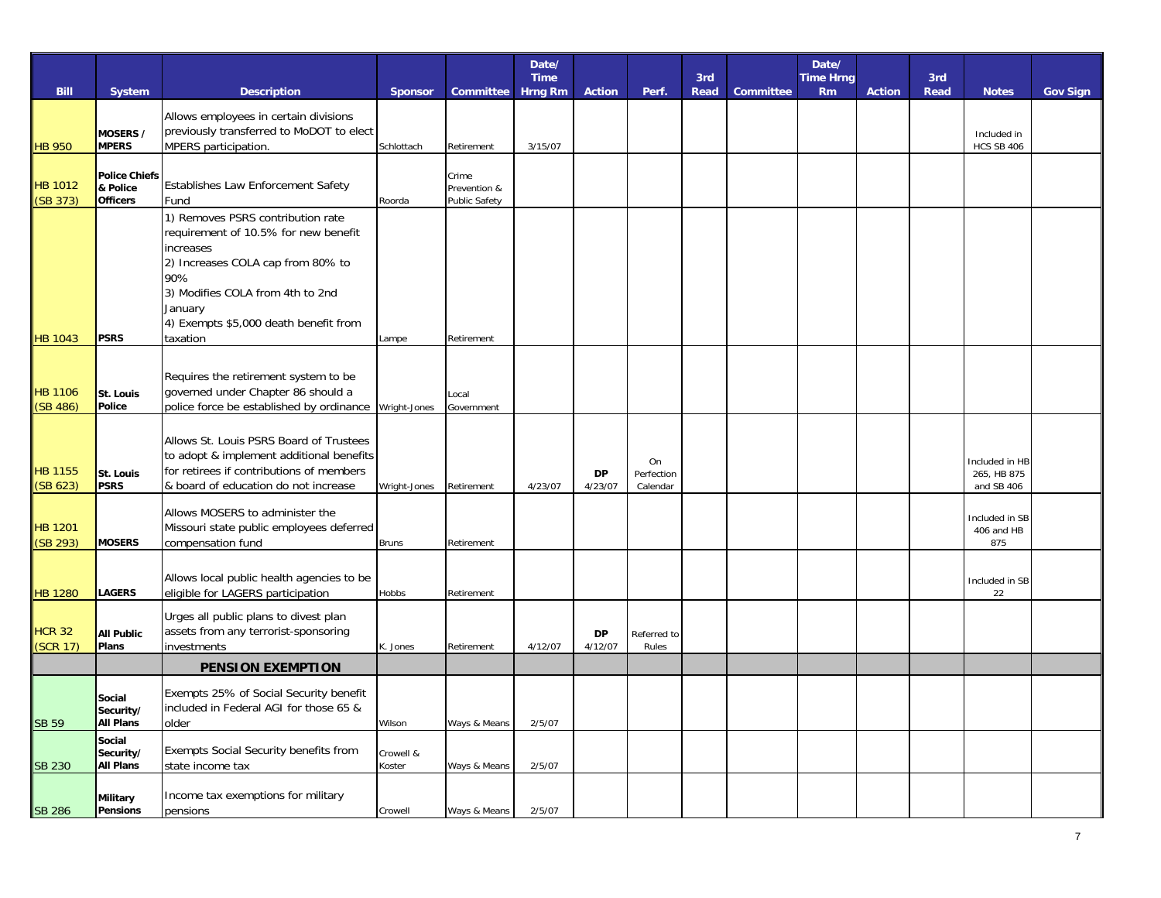|                            |                                                     |                                                                                                                                                                                                                            |                     |                                               | Date/<br><b>Time</b> |                      |                              |             |                  | Date/                         |               |                    |                                             |                 |
|----------------------------|-----------------------------------------------------|----------------------------------------------------------------------------------------------------------------------------------------------------------------------------------------------------------------------------|---------------------|-----------------------------------------------|----------------------|----------------------|------------------------------|-------------|------------------|-------------------------------|---------------|--------------------|---------------------------------------------|-----------------|
| <b>Bill</b>                | System                                              | <b>Description</b>                                                                                                                                                                                                         | <b>Sponsor</b>      | Committee                                     | <b>Hrng Rm</b>       | <b>Action</b>        | Perf.                        | 3rd<br>Read | <b>Committee</b> | <b>Time Hrng</b><br><b>Rm</b> | <b>Action</b> | 3rd<br><b>Read</b> | <b>Notes</b>                                | <b>Gov Sign</b> |
| <b>HB 950</b>              | MOSERS /<br><b>MPERS</b>                            | Allows employees in certain divisions<br>previously transferred to MoDOT to elect<br>MPERS participation.                                                                                                                  | Schlottach          | Retirement                                    | 3/15/07              |                      |                              |             |                  |                               |               |                    | Included in<br><b>HCS SB 406</b>            |                 |
| <b>HB 1012</b><br>(SB 373) | <b>Police Chiefs</b><br>& Police<br><b>Officers</b> | Establishes Law Enforcement Safety<br>Fund                                                                                                                                                                                 | Roorda              | Crime<br>Prevention &<br><b>Public Safety</b> |                      |                      |                              |             |                  |                               |               |                    |                                             |                 |
|                            |                                                     | 1) Removes PSRS contribution rate<br>requirement of 10.5% for new benefit<br>increases<br>2) Increases COLA cap from 80% to<br>90%<br>3) Modifies COLA from 4th to 2nd<br>January<br>4) Exempts \$5,000 death benefit from |                     |                                               |                      |                      |                              |             |                  |                               |               |                    |                                             |                 |
| <b>HB 1043</b>             | <b>PSRS</b>                                         | taxation                                                                                                                                                                                                                   | Lampe               | Retirement                                    |                      |                      |                              |             |                  |                               |               |                    |                                             |                 |
| <b>HB 1106</b><br>(SB 486) | St. Louis<br>Police                                 | Requires the retirement system to be<br>governed under Chapter 86 should a<br>police force be established by ordinance                                                                                                     | Wright-Jones        | Local<br>Government                           |                      |                      |                              |             |                  |                               |               |                    |                                             |                 |
| <b>HB 1155</b><br>(SB 623) | St. Louis<br><b>PSRS</b>                            | Allows St. Louis PSRS Board of Trustees<br>to adopt & implement additional benefits<br>for retirees if contributions of members<br>& board of education do not increase                                                    | Wright-Jones        | Retirement                                    | 4/23/07              | <b>DP</b><br>4/23/07 | On<br>Perfection<br>Calendar |             |                  |                               |               |                    | Included in HB<br>265, HB 875<br>and SB 406 |                 |
| <b>HB</b> 1201<br>(SB 293) | <b>MOSERS</b>                                       | Allows MOSERS to administer the<br>Missouri state public employees deferred<br>compensation fund                                                                                                                           | <b>Bruns</b>        | Retirement                                    |                      |                      |                              |             |                  |                               |               |                    | Included in SB<br>406 and HB<br>875         |                 |
| <b>HB 1280</b>             | <b>LAGERS</b>                                       | Allows local public health agencies to be<br>eligible for LAGERS participation                                                                                                                                             | Hobbs               | Retirement                                    |                      |                      |                              |             |                  |                               |               |                    | Included in SB<br>22                        |                 |
| <b>HCR 32</b><br>(SCR 17)  | <b>All Public</b><br>Plans                          | Urges all public plans to divest plan<br>assets from any terrorist-sponsoring<br>investments                                                                                                                               | K. Jones            | Retirement                                    | 4/12/07              | DP<br>4/12/07        | Referred to<br>Rules         |             |                  |                               |               |                    |                                             |                 |
|                            |                                                     | <b>PENSION EXEMPTION</b>                                                                                                                                                                                                   |                     |                                               |                      |                      |                              |             |                  |                               |               |                    |                                             |                 |
| <b>SB 59</b>               | Social<br>Security/<br><b>All Plans</b>             | Exempts 25% of Social Security benefit<br>included in Federal AGI for those 65 &<br>older                                                                                                                                  | Wilson              | Ways & Means                                  | 2/5/07               |                      |                              |             |                  |                               |               |                    |                                             |                 |
| <b>SB 230</b>              | Social<br>Security/<br><b>All Plans</b>             | Exempts Social Security benefits from<br>state income tax                                                                                                                                                                  | Crowell &<br>Koster | Ways & Means                                  | 2/5/07               |                      |                              |             |                  |                               |               |                    |                                             |                 |
| <b>SB 286</b>              | <b>Military</b><br><b>Pensions</b>                  | Income tax exemptions for military<br>pensions                                                                                                                                                                             | Crowell             | Ways & Means                                  | 2/5/07               |                      |                              |             |                  |                               |               |                    |                                             |                 |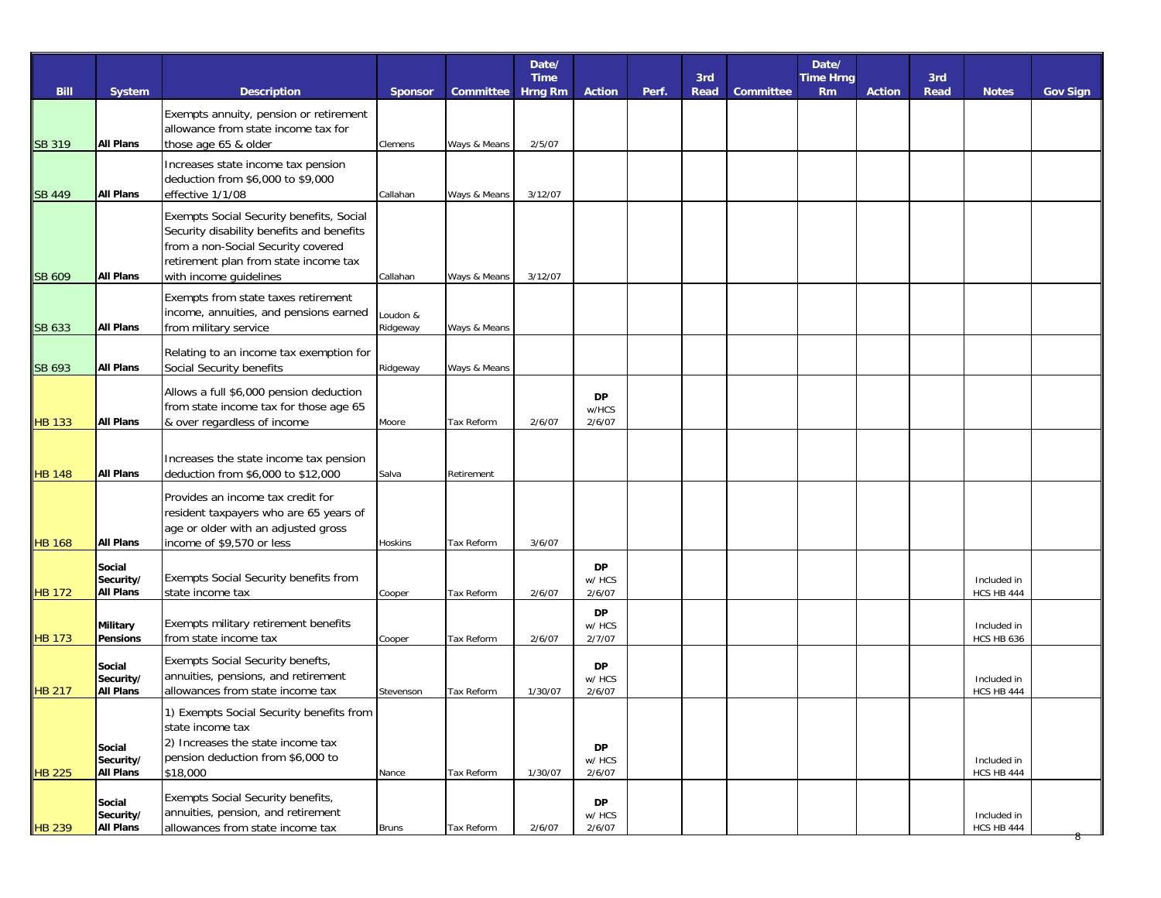|               |                               |                                                                                   |                |                   | Date/<br><b>Time</b> |                     |       | 3rd  |                  | Date/<br><b>Time Hrng</b> |               | 3rd         |                                  |                 |
|---------------|-------------------------------|-----------------------------------------------------------------------------------|----------------|-------------------|----------------------|---------------------|-------|------|------------------|---------------------------|---------------|-------------|----------------------------------|-----------------|
| <b>Bill</b>   | System                        | <b>Description</b>                                                                | <b>Sponsor</b> | <b>Committee</b>  | <b>Hrng Rm</b>       | <b>Action</b>       | Perf. | Read | <b>Committee</b> | <b>Rm</b>                 | <b>Action</b> | <b>Read</b> | <b>Notes</b>                     | <b>Gov Sign</b> |
|               |                               | Exempts annuity, pension or retirement<br>allowance from state income tax for     |                |                   |                      |                     |       |      |                  |                           |               |             |                                  |                 |
| <b>SB 319</b> | <b>All Plans</b>              | those age 65 & older                                                              | Clemens        | Ways & Means      | 2/5/07               |                     |       |      |                  |                           |               |             |                                  |                 |
|               |                               | Increases state income tax pension                                                |                |                   |                      |                     |       |      |                  |                           |               |             |                                  |                 |
| <b>SB 449</b> | <b>All Plans</b>              | deduction from \$6,000 to \$9,000<br>effective 1/1/08                             | Callahan       | Ways & Means      | 3/12/07              |                     |       |      |                  |                           |               |             |                                  |                 |
|               |                               | Exempts Social Security benefits, Social                                          |                |                   |                      |                     |       |      |                  |                           |               |             |                                  |                 |
|               |                               | Security disability benefits and benefits<br>from a non-Social Security covered   |                |                   |                      |                     |       |      |                  |                           |               |             |                                  |                 |
|               |                               | retirement plan from state income tax                                             |                |                   |                      |                     |       |      |                  |                           |               |             |                                  |                 |
| SB 609        | <b>All Plans</b>              | with income guidelines                                                            | Callahan       | Ways & Means      | 3/12/07              |                     |       |      |                  |                           |               |             |                                  |                 |
|               |                               | Exempts from state taxes retirement<br>income, annuities, and pensions earned     | Loudon &       |                   |                      |                     |       |      |                  |                           |               |             |                                  |                 |
| SB 633        | <b>All Plans</b>              | from military service                                                             | Ridgeway       | Ways & Means      |                      |                     |       |      |                  |                           |               |             |                                  |                 |
|               |                               | Relating to an income tax exemption for                                           |                |                   |                      |                     |       |      |                  |                           |               |             |                                  |                 |
| SB 693        | <b>All Plans</b>              | Social Security benefits                                                          | Ridgeway       | Ways & Means      |                      |                     |       |      |                  |                           |               |             |                                  |                 |
|               |                               | Allows a full \$6,000 pension deduction<br>from state income tax for those age 65 |                |                   |                      | <b>DP</b>           |       |      |                  |                           |               |             |                                  |                 |
| <b>HB 133</b> | <b>All Plans</b>              | & over regardless of income                                                       | Moore          | Tax Reform        | 2/6/07               | w/HCS<br>2/6/07     |       |      |                  |                           |               |             |                                  |                 |
|               |                               |                                                                                   |                |                   |                      |                     |       |      |                  |                           |               |             |                                  |                 |
| <b>HB 148</b> | <b>All Plans</b>              | Increases the state income tax pension<br>deduction from \$6,000 to \$12,000      | Salva          | Retirement        |                      |                     |       |      |                  |                           |               |             |                                  |                 |
|               |                               | Provides an income tax credit for                                                 |                |                   |                      |                     |       |      |                  |                           |               |             |                                  |                 |
|               |                               | resident taxpayers who are 65 years of                                            |                |                   |                      |                     |       |      |                  |                           |               |             |                                  |                 |
| <b>HB 168</b> | <b>All Plans</b>              | age or older with an adjusted gross<br>income of \$9,570 or less                  | Hoskins        | Tax Reform        | 3/6/07               |                     |       |      |                  |                           |               |             |                                  |                 |
|               | Social                        |                                                                                   |                |                   |                      | <b>DP</b>           |       |      |                  |                           |               |             |                                  |                 |
| <b>HB</b> 172 | Security/<br><b>All Plans</b> | Exempts Social Security benefits from<br>state income tax                         | Cooper         | Tax Reform        | 2/6/07               | w/ HCS<br>2/6/07    |       |      |                  |                           |               |             | Included in<br>HCS HB 444        |                 |
|               |                               |                                                                                   |                |                   |                      | <b>DP</b>           |       |      |                  |                           |               |             |                                  |                 |
| <b>HB 173</b> | Military<br><b>Pensions</b>   | Exempts military retirement benefits<br>from state income tax                     | Cooper         | Tax Reform        | 2/6/07               | w/ HCS<br>2/7/07    |       |      |                  |                           |               |             | Included in<br>HCS HB 636        |                 |
|               |                               | Exempts Social Security benefts,                                                  |                |                   |                      |                     |       |      |                  |                           |               |             |                                  |                 |
|               | Social<br>Security/           | annuities, pensions, and retirement                                               |                |                   |                      | <b>DP</b><br>w/ HCS |       |      |                  |                           |               |             | Included in                      |                 |
| <b>HB 217</b> | <b>All Plans</b>              | allowances from state income tax                                                  | Stevenson      | <b>Tax Reform</b> | 1/30/07              | 2/6/07              |       |      |                  |                           |               |             | HCS HB 444                       |                 |
|               |                               | 1) Exempts Social Security benefits from<br>state income tax                      |                |                   |                      |                     |       |      |                  |                           |               |             |                                  |                 |
|               | Social                        | 2) Increases the state income tax                                                 |                |                   |                      | <b>DP</b>           |       |      |                  |                           |               |             |                                  |                 |
| <b>HB 225</b> | Security/<br><b>All Plans</b> | pension deduction from \$6,000 to<br>\$18,000                                     | Nance          | Tax Reform        | 1/30/07              | w/ HCS<br>2/6/07    |       |      |                  |                           |               |             | Included in<br><b>HCS HB 444</b> |                 |
|               | Social                        | Exempts Social Security benefits,                                                 |                |                   |                      | <b>DP</b>           |       |      |                  |                           |               |             |                                  |                 |
|               | Security/                     | annuities, pension, and retirement                                                |                |                   |                      | w/ HCS              |       |      |                  |                           |               |             | Included in                      |                 |
| <b>HB 239</b> | <b>All Plans</b>              | allowances from state income tax                                                  | <b>Bruns</b>   | Tax Reform        | 2/6/07               | 2/6/07              |       |      |                  |                           |               |             | <b>HCS HB 444</b>                | ಕ               |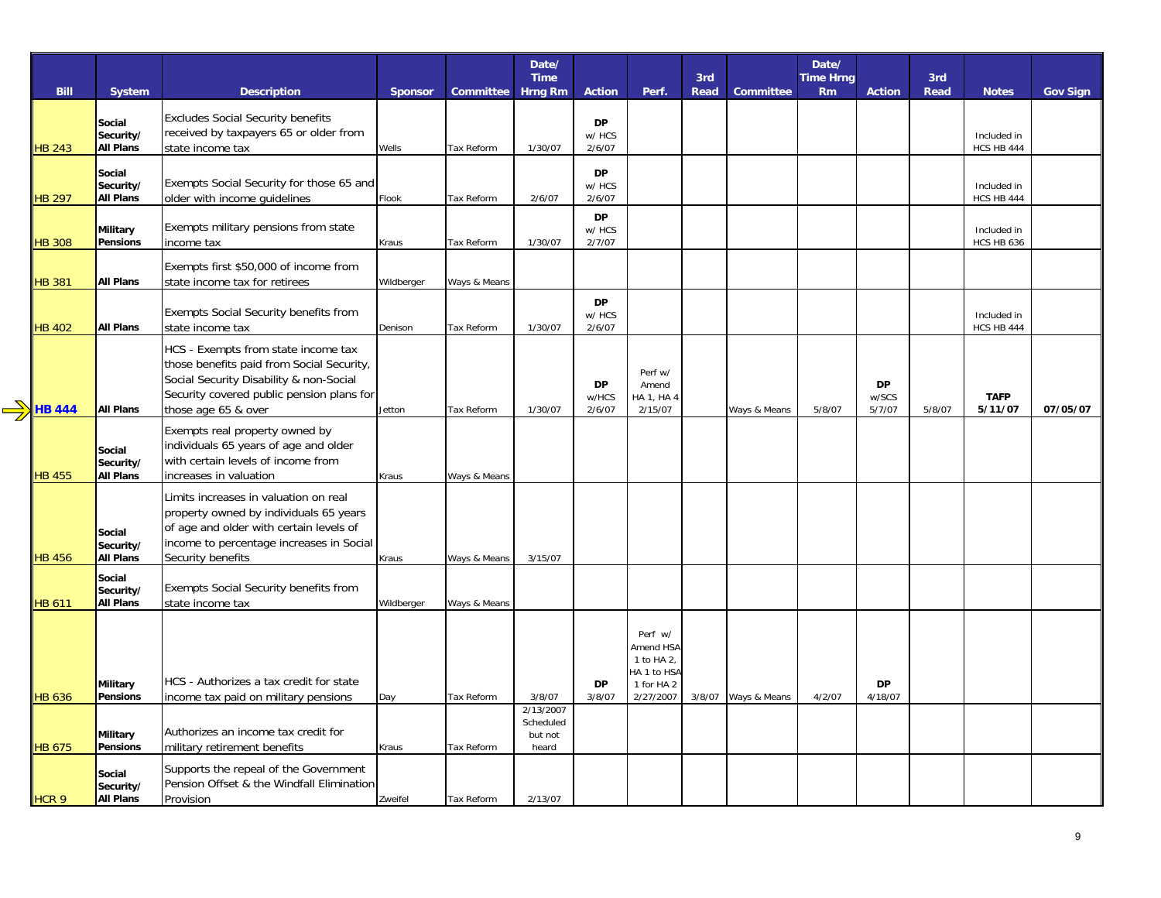|                  |                               |                                           |            |                  | Date/                         |                     |                           |                    |              | Date/                         |                    |                    |                   |                 |
|------------------|-------------------------------|-------------------------------------------|------------|------------------|-------------------------------|---------------------|---------------------------|--------------------|--------------|-------------------------------|--------------------|--------------------|-------------------|-----------------|
| <b>Bill</b>      | <b>System</b>                 | <b>Description</b>                        | Sponsor    | <b>Committee</b> | <b>Time</b><br><b>Hrng Rm</b> | <b>Action</b>       | Perf.                     | 3rd<br><b>Read</b> | Committee    | <b>Time Hrng</b><br><b>Rm</b> | <b>Action</b>      | 3rd<br><b>Read</b> | <b>Notes</b>      | <b>Gov Sign</b> |
|                  | Social                        | <b>Excludes Social Security benefits</b>  |            |                  |                               | DP                  |                           |                    |              |                               |                    |                    |                   |                 |
|                  | Security/                     | received by taxpayers 65 or older from    |            |                  |                               | w/ HCS              |                           |                    |              |                               |                    |                    | Included in       |                 |
| <b>HB 243</b>    | <b>All Plans</b>              | state income tax                          | Wells      | Tax Reform       | 1/30/07                       | 2/6/07              |                           |                    |              |                               |                    |                    | <b>HCS HB 444</b> |                 |
|                  | Social                        |                                           |            |                  |                               | <b>DP</b>           |                           |                    |              |                               |                    |                    |                   |                 |
|                  | Security/                     | Exempts Social Security for those 65 and  |            |                  |                               | w/ HCS              |                           |                    |              |                               |                    |                    | Included in       |                 |
| <b>HB 297</b>    | <b>All Plans</b>              | older with income quidelines              | Flook      | Tax Reform       | 2/6/07                        | 2/6/07              |                           |                    |              |                               |                    |                    | <b>HCS HB 444</b> |                 |
|                  | Military                      | Exempts military pensions from state      |            |                  |                               | <b>DP</b><br>w/ HCS |                           |                    |              |                               |                    |                    | Included in       |                 |
| <b>HB 308</b>    | Pensions                      | income tax                                | Kraus      | Tax Reform       | 1/30/07                       | 2/7/07              |                           |                    |              |                               |                    |                    | <b>HCS HB 636</b> |                 |
|                  |                               |                                           |            |                  |                               |                     |                           |                    |              |                               |                    |                    |                   |                 |
|                  |                               | Exempts first \$50,000 of income from     |            |                  |                               |                     |                           |                    |              |                               |                    |                    |                   |                 |
| <b>HB 381</b>    | <b>All Plans</b>              | state income tax for retirees             | Wildberger | Ways & Means     |                               |                     |                           |                    |              |                               |                    |                    |                   |                 |
|                  |                               | Exempts Social Security benefits from     |            |                  |                               | <b>DP</b><br>w/ HCS |                           |                    |              |                               |                    |                    | Included in       |                 |
| <b>HB 402</b>    | <b>All Plans</b>              | state income tax                          | Denison    | Tax Reform       | 1/30/07                       | 2/6/07              |                           |                    |              |                               |                    |                    | <b>HCS HB 444</b> |                 |
|                  |                               | HCS - Exempts from state income tax       |            |                  |                               |                     |                           |                    |              |                               |                    |                    |                   |                 |
|                  |                               | those benefits paid from Social Security, |            |                  |                               |                     |                           |                    |              |                               |                    |                    |                   |                 |
|                  |                               | Social Security Disability & non-Social   |            |                  |                               |                     | Perf w/                   |                    |              |                               |                    |                    |                   |                 |
|                  |                               | Security covered public pension plans for |            |                  |                               | <b>DP</b><br>w/HCS  | Amend<br>HA 1, HA 4       |                    |              |                               | <b>DP</b><br>w/SCS |                    | <b>TAFP</b>       |                 |
| <b>HB 444</b>    | <b>All Plans</b>              | those age 65 & over                       | Jetton     | Tax Reform       | 1/30/07                       | 2/6/07              | 2/15/07                   |                    | Ways & Means | 5/8/07                        | 5/7/07             | 5/8/07             | 5/11/07           | 07/05/07        |
|                  |                               | Exempts real property owned by            |            |                  |                               |                     |                           |                    |              |                               |                    |                    |                   |                 |
|                  | Social                        | individuals 65 years of age and older     |            |                  |                               |                     |                           |                    |              |                               |                    |                    |                   |                 |
|                  | Security/                     | with certain levels of income from        |            |                  |                               |                     |                           |                    |              |                               |                    |                    |                   |                 |
| <b>HB 455</b>    | <b>All Plans</b>              | increases in valuation                    | Kraus      | Ways & Means     |                               |                     |                           |                    |              |                               |                    |                    |                   |                 |
|                  |                               | Limits increases in valuation on real     |            |                  |                               |                     |                           |                    |              |                               |                    |                    |                   |                 |
|                  |                               | property owned by individuals 65 years    |            |                  |                               |                     |                           |                    |              |                               |                    |                    |                   |                 |
|                  | Social                        | of age and older with certain levels of   |            |                  |                               |                     |                           |                    |              |                               |                    |                    |                   |                 |
|                  | Security/                     | income to percentage increases in Social  |            |                  |                               |                     |                           |                    |              |                               |                    |                    |                   |                 |
| <b>HB 456</b>    | <b>All Plans</b>              | Security benefits                         | Kraus      | Ways & Means     | 3/15/07                       |                     |                           |                    |              |                               |                    |                    |                   |                 |
|                  | Social                        | Exempts Social Security benefits from     |            |                  |                               |                     |                           |                    |              |                               |                    |                    |                   |                 |
| <b>HB 611</b>    | Security/<br><b>All Plans</b> | state income tax                          | Wildberger | Ways & Means     |                               |                     |                           |                    |              |                               |                    |                    |                   |                 |
|                  |                               |                                           |            |                  |                               |                     |                           |                    |              |                               |                    |                    |                   |                 |
|                  |                               |                                           |            |                  |                               |                     | Perf w/                   |                    |              |                               |                    |                    |                   |                 |
|                  |                               |                                           |            |                  |                               |                     | Amend HSA                 |                    |              |                               |                    |                    |                   |                 |
|                  |                               |                                           |            |                  |                               |                     | 1 to HA 2,<br>HA 1 to HSA |                    |              |                               |                    |                    |                   |                 |
|                  | Military                      | HCS - Authorizes a tax credit for state   |            |                  |                               | <b>DP</b>           | 1 for HA 2                |                    |              |                               | <b>DP</b>          |                    |                   |                 |
| <b>HB 636</b>    | Pensions                      | income tax paid on military pensions      | Day        | Tax Reform       | 3/8/07                        | 3/8/07              | 2/27/2007                 | 3/8/07             | Ways & Means | 4/2/07                        | 4/18/07            |                    |                   |                 |
|                  |                               |                                           |            |                  | 2/13/2007<br>Scheduled        |                     |                           |                    |              |                               |                    |                    |                   |                 |
|                  | Military                      | Authorizes an income tax credit for       |            |                  | but not                       |                     |                           |                    |              |                               |                    |                    |                   |                 |
| <b>HB 675</b>    | Pensions                      | military retirement benefits              | Kraus      | Tax Reform       | heard                         |                     |                           |                    |              |                               |                    |                    |                   |                 |
|                  | Social                        | Supports the repeal of the Government     |            |                  |                               |                     |                           |                    |              |                               |                    |                    |                   |                 |
|                  | Security/                     | Pension Offset & the Windfall Elimination |            |                  |                               |                     |                           |                    |              |                               |                    |                    |                   |                 |
| HCR <sub>9</sub> | All Plans                     | Provision                                 | Zweifel    | Tax Reform       | 2/13/07                       |                     |                           |                    |              |                               |                    |                    |                   |                 |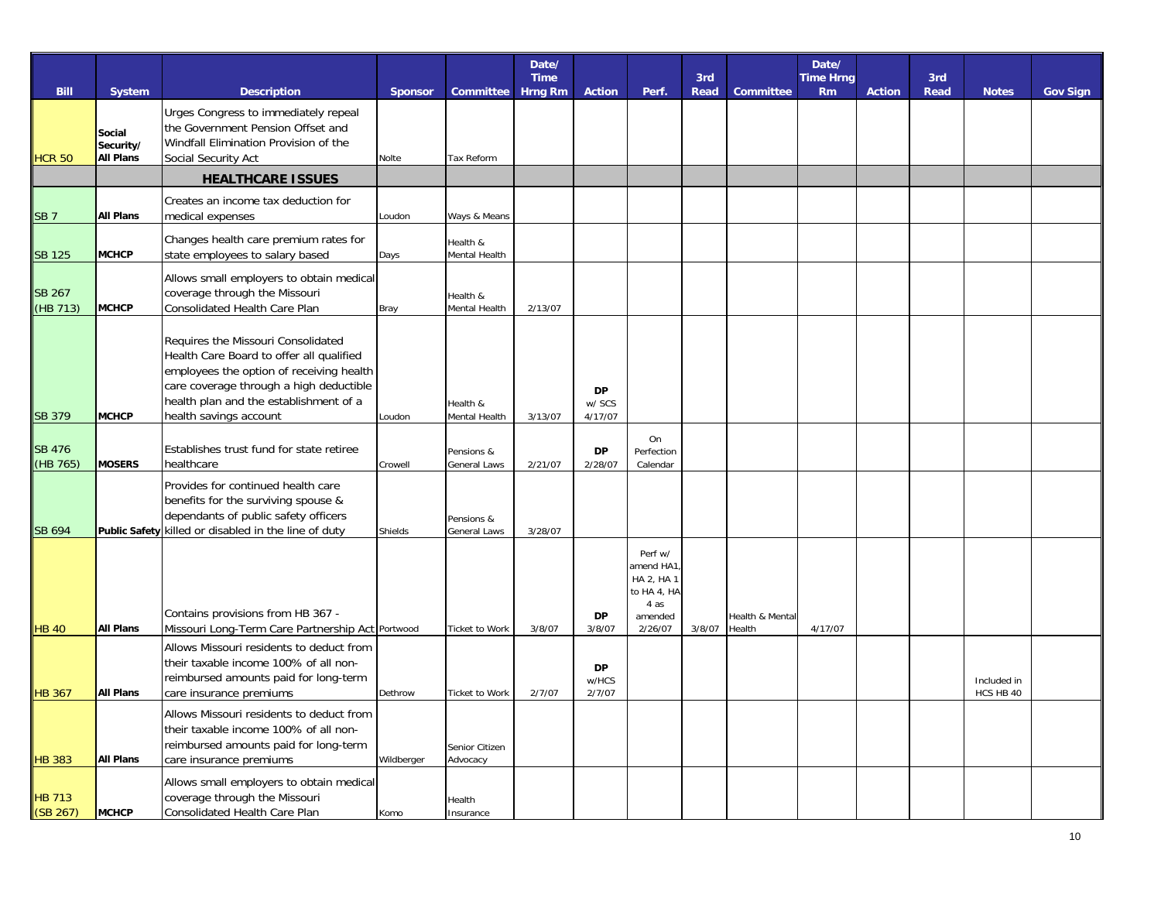|                           |                                         |                                                                                                                                                                                                                                           |                |                                   | Date/<br><b>Time</b> |                                |                                                                                 | 3rd    |                           | Date/<br><b>Time Hrng</b> |               | 3rd         |                          |                 |
|---------------------------|-----------------------------------------|-------------------------------------------------------------------------------------------------------------------------------------------------------------------------------------------------------------------------------------------|----------------|-----------------------------------|----------------------|--------------------------------|---------------------------------------------------------------------------------|--------|---------------------------|---------------------------|---------------|-------------|--------------------------|-----------------|
| <b>Bill</b>               | <b>System</b>                           | <b>Description</b>                                                                                                                                                                                                                        | <b>Sponsor</b> | Committee                         | <b>Hrng Rm</b>       | <b>Action</b>                  | Perf.                                                                           | Read   | <b>Committee</b>          | <b>Rm</b>                 | <b>Action</b> | <b>Read</b> | <b>Notes</b>             | <b>Gov Sign</b> |
| <b>HCR 50</b>             | Social<br>Security/<br><b>All Plans</b> | Urges Congress to immediately repeal<br>the Government Pension Offset and<br>Windfall Elimination Provision of the<br>Social Security Act                                                                                                 | Nolte          | Tax Reform                        |                      |                                |                                                                                 |        |                           |                           |               |             |                          |                 |
|                           |                                         | <b>HEALTHCARE ISSUES</b>                                                                                                                                                                                                                  |                |                                   |                      |                                |                                                                                 |        |                           |                           |               |             |                          |                 |
| <b>SB7</b>                | <b>All Plans</b>                        | Creates an income tax deduction for<br>medical expenses                                                                                                                                                                                   | Loudon         | Ways & Means                      |                      |                                |                                                                                 |        |                           |                           |               |             |                          |                 |
| <b>SB 125</b>             | <b>MCHCP</b>                            | Changes health care premium rates for<br>state employees to salary based                                                                                                                                                                  | Days           | Health &<br>Mental Health         |                      |                                |                                                                                 |        |                           |                           |               |             |                          |                 |
| <b>SB 267</b><br>(HB 713) | МСНСР                                   | Allows small employers to obtain medical<br>coverage through the Missouri<br>Consolidated Health Care Plan                                                                                                                                | Bray           | Health &<br>Mental Health         | 2/13/07              |                                |                                                                                 |        |                           |                           |               |             |                          |                 |
| <b>SB 379</b>             | <b>MCHCP</b>                            | Requires the Missouri Consolidated<br>Health Care Board to offer all qualified<br>employees the option of receiving health<br>care coverage through a high deductible<br>health plan and the establishment of a<br>health savings account | Loudon         | Health &<br>Mental Health         | 3/13/07              | <b>DP</b><br>w/ SCS<br>4/17/07 |                                                                                 |        |                           |                           |               |             |                          |                 |
| <b>SB 476</b><br>(HB 765) | <b>MOSERS</b>                           | Establishes trust fund for state retiree<br>healthcare                                                                                                                                                                                    | Crowell        | Pensions &<br>General Laws        | 2/21/07              | DP<br>2/28/07                  | On<br>Perfection<br>Calendar                                                    |        |                           |                           |               |             |                          |                 |
| SB 694                    |                                         | Provides for continued health care<br>benefits for the surviving spouse &<br>dependants of public safety officers<br>Public Safety killed or disabled in the line of duty                                                                 | Shields        | Pensions &<br><b>General Laws</b> | 3/28/07              |                                |                                                                                 |        |                           |                           |               |             |                          |                 |
| <b>HB 40</b>              | <b>All Plans</b>                        | Contains provisions from HB 367 -<br>Missouri Long-Term Care Partnership Act Portwood                                                                                                                                                     |                | Ticket to Work                    | 3/8/07               | DP<br>3/8/07                   | Perf w/<br>amend HA1<br>HA 2, HA 1<br>to HA 4, HA<br>4 as<br>amended<br>2/26/07 | 3/8/07 | Health & Mental<br>Health | 4/17/07                   |               |             |                          |                 |
| <b>HB 367</b>             | <b>All Plans</b>                        | Allows Missouri residents to deduct from<br>their taxable income 100% of all non-<br>reimbursed amounts paid for long-term<br>care insurance premiums                                                                                     | Dethrow        | <b>Ticket to Work</b>             | 2/7/07               | <b>DP</b><br>w/HCS<br>2/7/07   |                                                                                 |        |                           |                           |               |             | Included in<br>HCS HB 40 |                 |
| <b>HB 383</b>             | <b>All Plans</b>                        | Allows Missouri residents to deduct from<br>their taxable income 100% of all non-<br>reimbursed amounts paid for long-term<br>care insurance premiums                                                                                     | Wildberger     | Senior Citizen<br>Advocacy        |                      |                                |                                                                                 |        |                           |                           |               |             |                          |                 |
| <b>HB 713</b><br>(SB 267) | МСНСР                                   | Allows small employers to obtain medical<br>coverage through the Missouri<br>Consolidated Health Care Plan                                                                                                                                | Komo           | Health<br>Insurance               |                      |                                |                                                                                 |        |                           |                           |               |             |                          |                 |